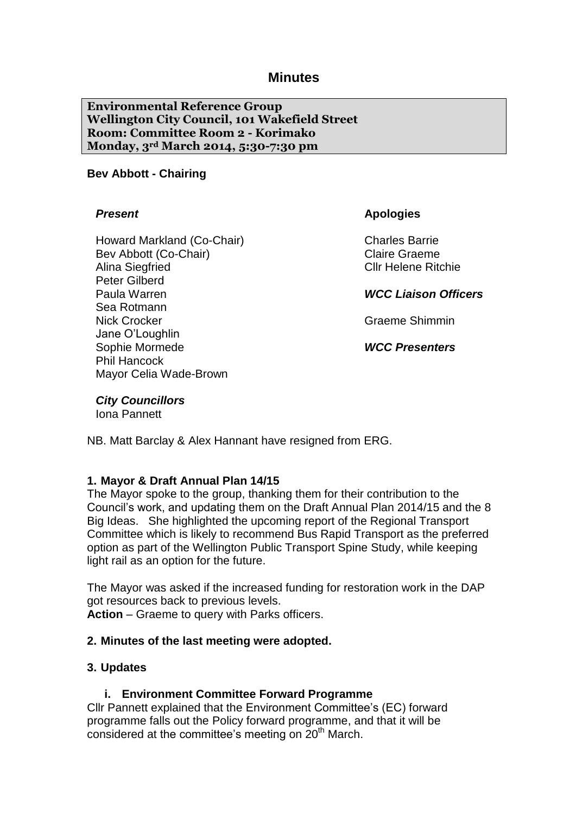# **Minutes**

**Environmental Reference Group Wellington City Council, 101 Wakefield Street Room: Committee Room 2 - Korimako Monday, 3rd March 2014, 5:30-7:30 pm**

#### **Bev Abbott - Chairing**

#### *Present*

Howard Markland (Co-Chair) Bev Abbott (Co-Chair) Alina Siegfried Peter Gilberd Paula Warren Sea Rotmann Nick Crocker Jane O'Loughlin Sophie Mormede Phil Hancock Mayor Celia Wade-Brown

**Apologies**

Charles Barrie Claire Graeme Cllr Helene Ritchie

*WCC Liaison Officers*

Graeme Shimmin

*WCC Presenters*

#### *City Councillors*

Iona Pannett

NB. Matt Barclay & Alex Hannant have resigned from ERG.

#### **1. Mayor & Draft Annual Plan 14/15**

The Mayor spoke to the group, thanking them for their contribution to the Council's work, and updating them on the Draft Annual Plan 2014/15 and the 8 Big Ideas. She highlighted the upcoming report of the Regional Transport Committee which is likely to recommend Bus Rapid Transport as the preferred option as part of the Wellington Public Transport Spine Study, while keeping light rail as an option for the future.

The Mayor was asked if the increased funding for restoration work in the DAP got resources back to previous levels. **Action** – Graeme to query with Parks officers.

#### **2. Minutes of the last meeting were adopted.**

### **3. Updates**

#### **i. Environment Committee Forward Programme**

Cllr Pannett explained that the Environment Committee's (EC) forward programme falls out the Policy forward programme, and that it will be considered at the committee's meeting on  $20<sup>th</sup>$  March.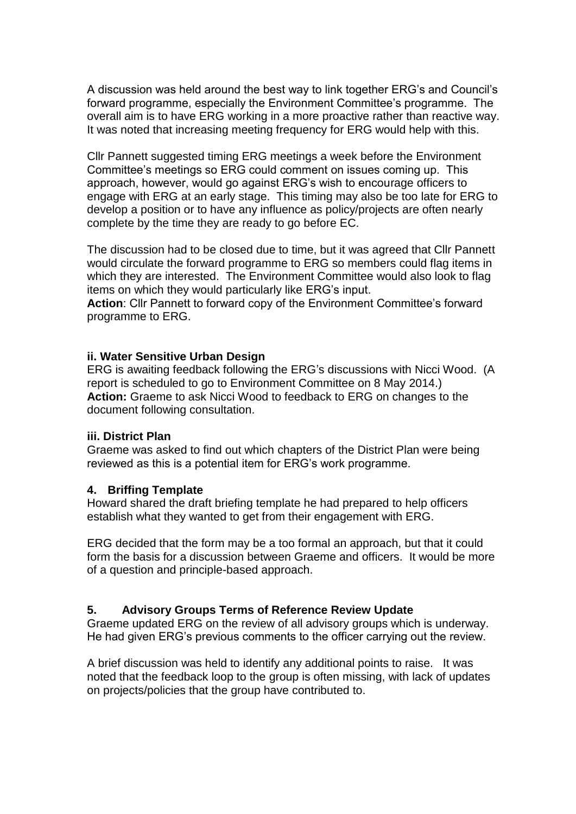A discussion was held around the best way to link together ERG's and Council's forward programme, especially the Environment Committee's programme. The overall aim is to have ERG working in a more proactive rather than reactive way. It was noted that increasing meeting frequency for ERG would help with this.

Cllr Pannett suggested timing ERG meetings a week before the Environment Committee's meetings so ERG could comment on issues coming up. This approach, however, would go against ERG's wish to encourage officers to engage with ERG at an early stage. This timing may also be too late for ERG to develop a position or to have any influence as policy/projects are often nearly complete by the time they are ready to go before EC.

The discussion had to be closed due to time, but it was agreed that Cllr Pannett would circulate the forward programme to ERG so members could flag items in which they are interested. The Environment Committee would also look to flag items on which they would particularly like ERG's input.

**Action**: Cllr Pannett to forward copy of the Environment Committee's forward programme to ERG.

### **ii. Water Sensitive Urban Design**

ERG is awaiting feedback following the ERG's discussions with Nicci Wood. (A report is scheduled to go to Environment Committee on 8 May 2014.) **Action:** Graeme to ask Nicci Wood to feedback to ERG on changes to the document following consultation.

### **iii. District Plan**

Graeme was asked to find out which chapters of the District Plan were being reviewed as this is a potential item for ERG's work programme.

### **4. Briffing Template**

Howard shared the draft briefing template he had prepared to help officers establish what they wanted to get from their engagement with ERG.

ERG decided that the form may be a too formal an approach, but that it could form the basis for a discussion between Graeme and officers. It would be more of a question and principle-based approach.

## **5. Advisory Groups Terms of Reference Review Update**

Graeme updated ERG on the review of all advisory groups which is underway. He had given ERG's previous comments to the officer carrying out the review.

A brief discussion was held to identify any additional points to raise. It was noted that the feedback loop to the group is often missing, with lack of updates on projects/policies that the group have contributed to.